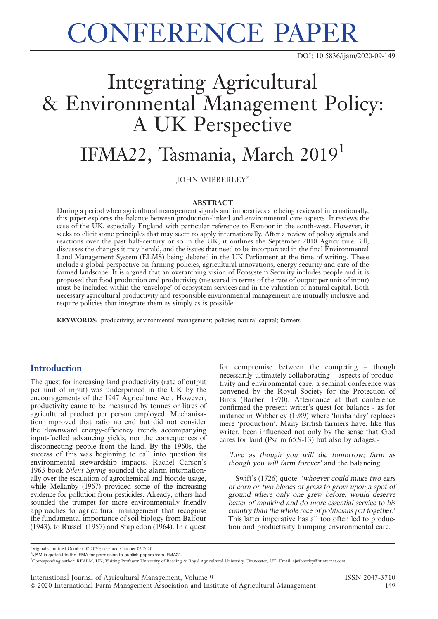# CONFERENCE PAPER

DOI: 10.5836/ijam/2020-09-149

## Integrating Agricultural & Environmental Management Policy: A UK Perspective

### IFMA22, Tasmania, March 2019<sup>1</sup>

JOHN WIBBERLEY<sup>2</sup>

#### ABSTRACT

During a period when agricultural management signals and imperatives are being reviewed internationally, this paper explores the balance between production-linked and environmental care aspects. It reviews the case of the UK, especially England with particular reference to Exmoor in the south-west. However, it seeks to elicit some principles that may seem to apply internationally. After a review of policy signals and reactions over the past half-century or so in the UK, it outlines the September 2018 Agriculture Bill, discusses the changes it may herald, and the issues that need to be incorporated in the final Environmental Land Management System (ELMS) being debated in the UK Parliament at the time of writing. These include a global perspective on farming policies, agricultural innovations, energy security and care of the farmed landscape. It is argued that an overarching vision of Ecosystem Security includes people and it is proposed that food production and productivity (measured in terms of the rate of output per unit of input) must be included within the 'envelope' of ecosystem services and in the valuation of natural capital. Both necessary agricultural productivity and responsible environmental management are mutually inclusive and require policies that integrate them as simply as is possible.

KEYWORDS: productivity; environmental management; policies; natural capital; farmers

#### **Introduction**

The quest for increasing land productivity (rate of output per unit of input) was underpinned in the UK by the encouragements of the 1947 Agriculture Act. However, productivity came to be measured by tonnes or litres of agricultural product per person employed. Mechanisation improved that ratio no end but did not consider the downward energy-efficiency trends accompanying input-fuelled advancing yields, nor the consequences of disconnecting people from the land. By the 1960s, the success of this was beginning to call into question its environmental stewardship impacts. Rachel Carson's 1963 book Silent Spring sounded the alarm internationally over the escalation of agrochemical and biocide usage, while Mellanby (1967) provided some of the increasing evidence for pollution from pesticides. Already, others had sounded the trumpet for more environmentally friendly approaches to agricultural management that recognise the fundamental importance of soil biology from Balfour (1943), to Russell (1957) and Stapledon (1964). In a quest for compromise between the competing – though necessarily ultimately collaborating – aspects of productivity and environmental care, a seminal conference was convened by the Royal Society for the Protection of Birds (Barber, 1970). Attendance at that conference confirmed the present writer's quest for balance - as for instance in Wibberley (1989) where 'husbandry' replaces mere 'production'. Many British farmers have, like this writer, been influenced not only by the sense that God cares for land (Psalm 65:9-13) but also by adages:-

'Live as though you will die tomorrow; farm as though you will farm forever' and the balancing:

Swift's (1726) quote: 'whoever could make two ears of corn or two blades of grass to grow upon <sup>a</sup> spot of ground where only one grew before, would deserve better of mankind and do more essential service to his country than the whole race of politicians put together.' This latter imperative has all too often led to production and productivity trumping environmental care.

Original submitted October 02 2020; accepted October 02 2020.

<sup>&</sup>lt;sup>1</sup>IJAM is grateful to the IFMA for permission to publish papers from IFMA22.

<sup>2</sup> Corresponding author: REALM, UK; Visiting Professor University of Reading & Royal Agricultural University Cirencester, UK. Email: ejwibberley@btinternet.com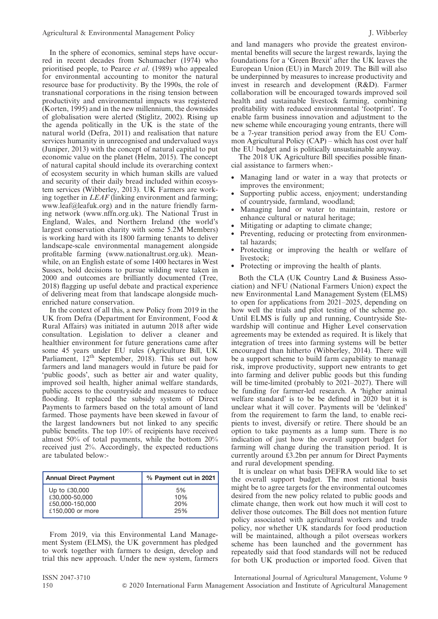In the sphere of economics, seminal steps have occurred in recent decades from Schumacher (1974) who prioritised people, to Pearce et al. (1989) who appealed for environmental accounting to monitor the natural resource base for productivity. By the 1990s, the role of transnational corporations in the rising tension between productivity and environmental impacts was registered (Korten, 1995) and in the new millennium, the downsides of globalisation were alerted (Stiglitz, 2002). Rising up the agenda politically in the UK is the state of the natural world (Defra, 2011) and realisation that nature services humanity in unrecognised and undervalued ways (Juniper, 2013) with the concept of natural capital to put economic value on the planet (Helm, 2015). The concept of natural capital should include its overarching context of ecosystem security in which human skills are valued and security of their daily bread included within ecosystem services (Wibberley, 2013). UK Farmers are working together in LEAF (linking environment and farming; www.leaf@leafuk.org) and in the nature friendly farming network (www.nffn.org.uk). The National Trust in England, Wales, and Northern Ireland (the world's largest conservation charity with some 5.2M Members) is working hard with its 1800 farming tenants to deliver landscape-scale environmental management alongside profitable farming (www.nationaltrust.org.uk). Meanwhile, on an English estate of some 1400 hectares in West Sussex, bold decisions to pursue wilding were taken in 2000 and outcomes are brilliantly documented (Tree, 2018) flagging up useful debate and practical experience of delivering meat from that landscape alongside muchenriched nature conservation.

In the context of all this, a new Policy from 2019 in the UK from Defra (Department for Environment, Food & Rural Affairs) was initiated in autumn 2018 after wide consultation. Legislation to deliver a cleaner and healthier environment for future generations came after some 45 years under EU rules (Agriculture Bill, UK Parliament, 12<sup>th</sup> September, 2018). This set out how farmers and land managers would in future be paid for 'public goods', such as better air and water quality, improved soil health, higher animal welfare standards, public access to the countryside and measures to reduce flooding. It replaced the subsidy system of Direct Payments to farmers based on the total amount of land farmed. Those payments have been skewed in favour of the largest landowners but not linked to any specific public benefits. The top 10% of recipients have received almost 50% of total payments, while the bottom 20% received just 2%. Accordingly, the expected reductions are tabulated below:-

| <b>Annual Direct Payment</b> | % Payment cut in 2021 |
|------------------------------|-----------------------|
| Up to $£30,000$              | 5%                    |
| £30,000-50,000               | 10%                   |
| £50,000-150,000              | 20%                   |
| £150,000 or more             | 25%                   |

From 2019, via this Environmental Land Management System (ELMS), the UK government has pledged to work together with farmers to design, develop and trial this new approach. Under the new system, farmers and land managers who provide the greatest environmental benefits will secure the largest rewards, laying the foundations for a 'Green Brexit' after the UK leaves the European Union (EU) in March 2019. The Bill will also be underpinned by measures to increase productivity and invest in research and development (R&D). Farmer collaboration will be encouraged towards improved soil health and sustainable livestock farming, combining profitability with reduced environmental 'footprint'. To enable farm business innovation and adjustment to the new scheme while encouraging young entrants, there will be a 7-year transition period away from the EU Common Agricultural Policy (CAP) – which has cost over half the EU budget and is politically unsustainable anyway.

The 2018 UK Agriculture Bill specifies possible financial assistance to farmers when:-

- Managing land or water in a way that protects or improves the environment;
- Supporting public access, enjoyment; understanding of countryside, farmland, woodland;
- Managing land or water to maintain, restore or enhance cultural or natural heritage;
- Mitigating or adapting to climate change;
- Preventing, reducing or protecting from environmental hazards;
- Protecting or improving the health or welfare of livestock;
- Protecting or improving the health of plants.

Both the CLA (UK Country Land & Business Association) and NFU (National Farmers Union) expect the new Environmental Land Management System (ELMS) to open for applications from 2021–2025, depending on how well the trials and pilot testing of the scheme go. Until ELMS is fully up and running, Countryside Stewardship will continue and Higher Level conservation agreements may be extended as required. It is likely that integration of trees into farming systems will be better encouraged than hitherto (Wibberley, 2014). There will be a support scheme to build farm capability to manage risk, improve productivity, support new entrants to get into farming and deliver public goods but this funding will be time-limited (probably to 2021–2027). There will be funding for farmer-led research. A 'higher animal welfare standard' is to be be defined in 2020 but it is unclear what it will cover. Payments will be 'delinked' from the requirement to farm the land, to enable recipients to invest, diversify or retire. There should be an option to take payments as a lump sum. There is no indication of just how the overall support budget for farming will change during the transition period. It is currently around  $£3.2$ bn per annum for Direct Payments and rural development spending.

It is unclear on what basis DEFRA would like to set the overall support budget. The most rational basis might be to agree targets for the environmental outcomes desired from the new policy related to public goods and climate change, then work out how much it will cost to deliver those outcomes. The Bill does not mention future policy associated with agricultural workers and trade policy, nor whether UK standards for food production will be maintained, although a pilot overseas workers scheme has been launched and the government has repeatedly said that food standards will not be reduced for both UK production or imported food. Given that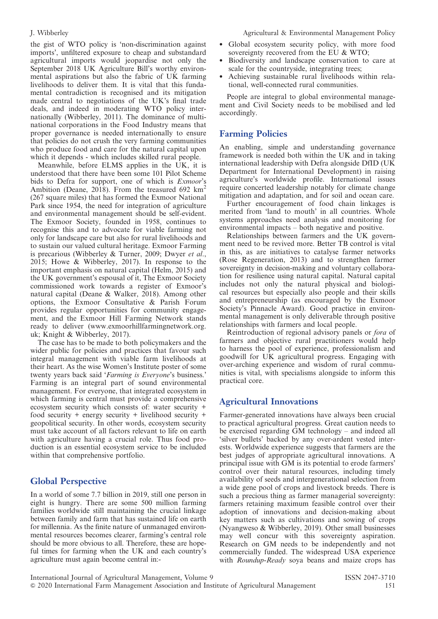the gist of WTO policy is 'non-discrimination against imports', unfiltered exposure to cheap and substandard agricultural imports would jeopardise not only the September 2018 UK Agriculture Bill's worthy environmental aspirations but also the fabric of UK farming livelihoods to deliver them. It is vital that this fundamental contradiction is recognised and its mitigation made central to negotiations of the UK's final trade deals, and indeed in moderating WTO policy internationally (Wibberley, 2011). The dominance of multinational corporations in the Food Industry means that proper governance is needed internationally to ensure that policies do not crush the very farming communities who produce food and care for the natural capital upon which it depends - which includes skilled rural people.

Meanwhile, before ELMS applies in the UK, it is understood that there have been some 101 Pilot Scheme bids to Defra for support, one of which is Exmoor's Ambition (Deane, 2018). From the treasured 692 km<sup>2</sup> (267 square miles) that has formed the Exmoor National Park since 1954, the need for integration of agriculture and environmental management should be self-evident. The Exmoor Society, founded in 1958, continues to recognise this and to advocate for viable farming not only for landscape care but also for rural livelihoods and to sustain our valued cultural heritage. Exmoor Farming is precarious (Wibberley & Turner, 2009; Dwyer et al., 2015; Howe & Wibberley, 2017). In response to the important emphasis on natural capital (Helm, 2015) and the UK government's espousal of it, The Exmoor Society commissioned work towards a register of Exmoor's natural capital (Deane & Walker, 2018). Among other options, the Exmoor Consultative & Parish Forum provides regular opportunities for community engagement, and the Exmoor Hill Farming Network stands ready to deliver (www.exmoorhillfarmingnetwork.org. uk; Knight & Wibberley, 2017).

The case has to be made to both policymakers and the wider public for policies and practices that favour such integral management with viable farm livelihoods at their heart. As the wise Women's Institute poster of some twenty years back said 'Farming is Everyone's business.' Farming is an integral part of sound environmental management. For everyone, that integrated ecosystem in which farming is central must provide a comprehensive ecosystem security which consists of: water security + food security + energy security + livelihood security + geopolitical security. In other words, ecosystem security must take account of all factors relevant to life on earth with agriculture having a crucial role. Thus food production is an essential ecosystem service to be included within that comprehensive portfolio.

#### Global Perspective

In a world of some 7.7 billion in 2019, still one person in eight is hungry. There are some 500 million farming families worldwide still maintaining the crucial linkage between family and farm that has sustained life on earth for millennia. As the finite nature of unmanaged environmental resources becomes clearer, farming's central role should be more obvious to all. Therefore, these are hopeful times for farming when the UK and each country's agriculture must again become central in:-

- Global ecosystem security policy, with more food sovereignty recovered from the EU & WTO;
- Biodiversity and landscape conservation to care at scale for the countryside, integrating trees;
- Achieving sustainable rural livelihoods within relational, well-connected rural communities.

People are integral to global environmental management and Civil Society needs to be mobilised and led accordingly.

#### Farming Policies

An enabling, simple and understanding governance framework is needed both within the UK and in taking international leadership with Defra alongside DfID (UK Department for International Development) in raising agriculture's worldwide profile. International issues require concerted leadership notably for climate change mitigation and adaptation, and for soil and ocean care.

Further encouragement of food chain linkages is merited from 'land to mouth' in all countries. Whole systems approaches need analysis and monitoring for environmental impacts – both negative and positive.

Relationships between farmers and the UK government need to be revived more. Better TB control is vital in this, as are initiatives to catalyse farmer networks (Rose Regeneration, 2013) and to strengthen farmer sovereignty in decision-making and voluntary collaboration for resilience using natural capital. Natural capital includes not only the natural physical and biological resources but especially also people and their skills and entrepreneurship (as encouraged by the Exmoor Society's Pinnacle Award). Good practice in environmental management is only deliverable through positive relationships with farmers and local people.

Reintroduction of regional advisory panels or fora of farmers and objective rural practitioners would help to harness the pool of experience, professionalism and goodwill for UK agricultural progress. Engaging with over-arching experience and wisdom of rural communities is vital, with specialisms alongside to inform this practical core.

### Agricultural Innovations

Farmer-generated innovations have always been crucial to practical agricultural progress. Great caution needs to be exercised regarding GM technology – and indeed all 'silver bullets' backed by any over-ardent vested interests. Worldwide experience suggests that farmers are the best judges of appropriate agricultural innovations. A principal issue with GM is its potential to erode farmers' control over their natural resources, including timely availability of seeds and intergenerational selection from a wide gene pool of crops and livestock breeds. There is such a precious thing as farmer managerial sovereignty: farmers retaining maximum feasible control over their adoption of innovations and decision-making about key matters such as cultivations and sowing of crops (Nyangweso & Wibberley, 2019). Other small businesses may well concur with this sovereignty aspiration. Research on GM needs to be independently and not commercially funded. The widespread USA experience with Roundup-Ready soya beans and maize crops has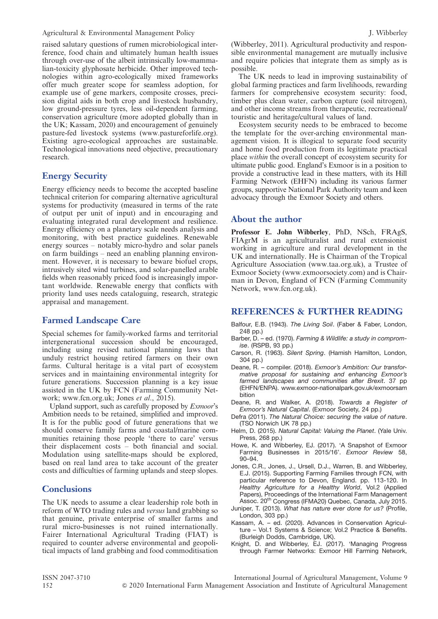Agricultural & Environmental Management Policy J. Wibberley J. Wibberley

raised salutary questions of rumen microbiological interference, food chain and ultimately human health issues through over-use of the albeit intrinsically low-mammalian-toxicity glyphosate herbicide. Other improved technologies within agro-ecologically mixed frameworks offer much greater scope for seamless adoption, for example use of gene markers, composite crosses, precision digital aids in both crop and livestock husbandry, low ground-pressure tyres, less oil-dependent farming, conservation agriculture (more adopted globally than in the UK; Kassam, 2020) and encouragement of genuinely pasture-fed livestock systems (www.pastureforlife.org). Existing agro-ecological approaches are sustainable. Technological innovations need objective, precautionary research.

#### Energy Security

Energy efficiency needs to become the accepted baseline technical criterion for comparing alternative agricultural systems for productivity (measured in terms of the rate of output per unit of input) and in encouraging and evaluating integrated rural development and resilience. Energy efficiency on a planetary scale needs analysis and monitoring, with best practice guidelines. Renewable energy sources – notably micro-hydro and solar panels on farm buildings – need an enabling planning environment. However, it is necessary to beware biofuel crops, intrusively sited wind turbines, and solar-panelled arable fields when reasonably priced food is increasingly important worldwide. Renewable energy that conflicts with priority land uses needs cataloguing, research, strategic appraisal and management.

#### Farmed Landscape Care

Special schemes for family-worked farms and territorial intergenerational succession should be encouraged, including using revised national planning laws that unduly restrict housing retired farmers on their own farms. Cultural heritage is a vital part of ecosystem services and in maintaining environmental integrity for future generations. Succession planning is a key issue assisted in the UK by FCN (Farming Community Network; www.fcn.org.uk; Jones et al., 2015).

Upland support, such as carefully proposed by Exmoor's Ambition needs to be retained, simplified and improved. It is for the public good of future generations that we should conserve family farms and coastal/marine communities retaining those people 'there to care' versus their displacement costs – both financial and social. Modulation using satellite-maps should be explored, based on real land area to take account of the greater costs and difficulties of farming uplands and steep slopes.

#### **Conclusions**

The UK needs to assume a clear leadership role both in reform of WTO trading rules and versus land grabbing so that genuine, private enterprise of smaller farms and rural micro-businesses is not ruined internationally. Fairer International Agricultural Trading (FIAT) is required to counter adverse environmental and geopolitical impacts of land grabbing and food commoditisation (Wibberley, 2011). Agricultural productivity and responsible environmental management are mutually inclusive and require policies that integrate them as simply as is possible.

The UK needs to lead in improving sustainability of global farming practices and farm livelihoods, rewarding farmers for comprehensive ecosystem security: food, timber plus clean water, carbon capture (soil nitrogen), and other income streams from therapeutic, recreational/ touristic and heritage/cultural values of land.

Ecosystem security needs to be embraced to become the template for the over-arching environmental management vision. It is illogical to separate food security and home food production from its legitimate practical place within the overall concept of ecosystem security for ultimate public good. England's Exmoor is in a position to provide a constructive lead in these matters, with its Hill Farming Network (EHFN) including its various farmer groups, supportive National Park Authority team and keen advocacy through the Exmoor Society and others.

#### About the author

Professor E. John Wibberley, PhD, NSch, FRAgS, FIAgrM is an agriculturalist and rural extensionist working in agriculture and rural development in the UK and internationally. He is Chairman of the Tropical Agriculture Association (www.taa.org.uk), a Trustee of Exmoor Society (www.exmoorsociety.com) and is Chairman in Devon, England of FCN (Farming Community Network, www.fcn.org.uk).

#### REFERENCES & FURTHER READING

- Balfour, E.B. (1943). The Living Soil. (Faber & Faber, London, 248 pp.)
- Barber, D. ed. (1970). Farming & Wildlife: a study in compromise. (RSPB, 93 pp.)
- Carson, R. (1963). Silent Spring. (Hamish Hamilton, London, 304 pp.)
- Deane, R. compiler. (2018). Exmoor's Ambition: Our transformative proposal for sustaining and enhancing Exmoor's farmed landscapes and communities after Brexit. 37 pp (EHFN/ENPA). www.exmoor-nationalpark.gov.uk/exmoorsam bition
- Deane, R. and Walker, A. (2018). Towards a Register of Exmoor's Natural Capital. (Exmoor Society, 24 pp.)
- Defra (2011). The Natural Choice: securing the value of nature. (TSO Norwich UK 78 pp.)
- Helm, D. (2015). Natural Capital: Valuing the Planet. (Yale Univ. Press, 268 pp.)
- Howe, K. and Wibberley, EJ. (2017). 'A Snapshot of Exmoor Farming Businesses in 2015/16'. Exmoor Review 58, 90–94.
- Jones, C.R., Jones, J., Ursell, D.J., Warren, B. and Wibberley, E.J. (2015). Supporting Farming Families through FCN, with particular reference to Devon, England. pp. 113-120. In Healthy Agriculture for a Healthy World, Vol.2 (Applied Papers), Proceedings of the International Farm Management<br>Assoc. 20<sup>th</sup> Congress (IFMA20) Quebec, Canada, July 2015.
- Juniper, T. (2013). What has nature ever done for us? (Profile, London, 303 pp.)
- Kassam, A. ed. (2020). Advances in Conservation Agriculture – Vol.1 Systems & Science; Vol.2 Practice & Benefits. (Burleigh Dodds, Cambridge, UK).
- Knight, D. and Wibberley, EJ. (2017). 'Managing Progress through Farmer Networks: Exmoor Hill Farming Network,